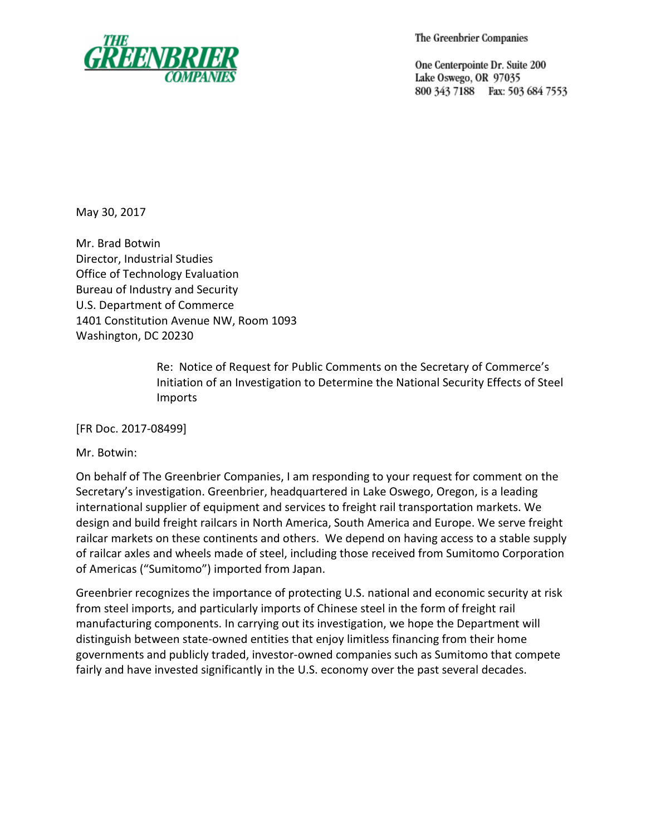

The Greenbrier Companies

One Centerpointe Dr. Suite 200 Lake Oswego, OR 97035 800 343 7188 Fax: 503 684 7553

May 30, 2017

Mr. Brad Botwin Director, Industrial Studies Office of Technology Evaluation Bureau of Industry and Security U.S. Department of Commerce 1401 Constitution Avenue NW, Room 1093 Washington, DC 20230

> Re: Notice of Request for Public Comments on the Secretary of Commerce's Initiation of an Investigation to Determine the National Security Effects of Steel Imports

[FR Doc. 2017-08499]

Mr. Botwin:

On behalf of The Greenbrier Companies, I am responding to your request for comment on the Secretary's investigation. Greenbrier, headquartered in Lake Oswego, Oregon, is a leading international supplier of equipment and services to freight rail transportation markets. We design and build freight railcars in North America, South America and Europe. We serve freight railcar markets on these continents and others. We depend on having access to a stable supply of railcar axles and wheels made of steel, including those received from Sumitomo Corporation of Americas ("Sumitomo") imported from Japan.

Greenbrier recognizes the importance of protecting U.S. national and economic security at risk from steel imports, and particularly imports of Chinese steel in the form of freight rail manufacturing components. In carrying out its investigation, we hope the Department will distinguish between state-owned entities that enjoy limitless financing from their home governments and publicly traded, investor-owned companies such as Sumitomo that compete fairly and have invested significantly in the U.S. economy over the past several decades.